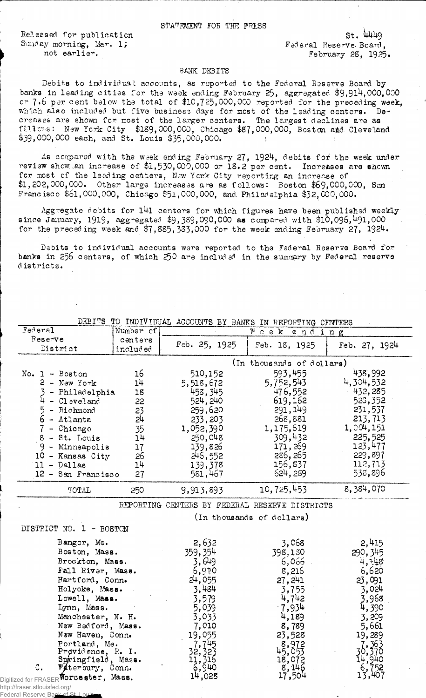Released for publication St. 44449 Sunday morning, Mar. 1; Tederal Reserve. Board,

not earlier. February 28, 1925.

## BANK DEBITS

Debits to individual accounts, as reported to the Federal Reserve Board by banks in leading cities for the week ending February 25, aggregated \$9,914,000,000 cr 7.6 per cent below the total of  $\$10,\!725,\!000,\!000$  reported for the preceding wee**k,** which also included but five business days for most of the leading centers. Decreases are shown for most of the larger centers. The largest declines are as ftllcvs: New York City \$189,000,000, Chicago \$87,000,000, Boston aid Cleveland \$39,000,000 each, and St. Louis \$35,000,000.

As compared with the week ending February 27, 1924, debits for the week under review shew: .an increase of \$1,530,000,000 or 18.2 per cent. Increases are shewn for most of the leading centers, New York City reporting an increase of \$1,202,000,000. Other large increases are as follows: Boston \$69,000,000, San Francisco \$61,000,000, Chicago \$51,000,000, and Philadelphia \$32,000,000.

Aggregate debits for  $141$  centers for which figures have been published weekly since January, 1919, aggregated  $$9,389,090,000$  as compared with  $$10,096,491,000$ for the preceding week and \$7,885,333,000 for the week ending February 27, 1924.

Debits to individual accounts were reported to the Federal Reserve Board for banks in 256 centers, of which 250 are includ ed in the summary by Federal reserve d istrict3.

| <b>DEBITS</b>                                            |                     |                 | TO INDIVIDUAL ACCOUNTS BY BANKS IN REPORTING CENTERS |                |
|----------------------------------------------------------|---------------------|-----------------|------------------------------------------------------|----------------|
| Federal                                                  | Number of           |                 | Week ending                                          |                |
| Reserve<br>District                                      | centers<br>included | Feb. 25, 1925   | Feb. 18, 1925                                        | Feb. 27, 1924  |
|                                                          |                     |                 | (In thousands of dollars)                            |                |
| No. $1 -$ Boston                                         | 16                  | 510,152         | 593,455                                              | 438,992        |
| $2 - New York$                                           | 1 <sup>11</sup>     | 5,518,672       | 5,752,543                                            | 4,304,532      |
| - Philadelphia                                           | 18                  | 453,345         | 476,552                                              | 432,285        |
| 4<br>$ C1$ evel and                                      | 22                  | 524, 240        | 619,162                                              | 523,352        |
| 5 - Richmond                                             | 23                  | 259,620         | 291, 149                                             | 231,537        |
| $6$ - Atlanta                                            | 2 <sup>1</sup>      | 233, 203        | 268,881                                              | 213,713        |
| $7$ - Chicago                                            | 35                  | 1,052,390       | 1,175,619                                            | 1,004,151      |
| $8 - St.$ Louis                                          | 14                  | 250,048         | 309,432                                              | 225,525        |
| $9 -$ Minneapolis                                        | 17                  | 139,826         | 171,269                                              | 123,477        |
| 10 - Kansas City                                         | 26                  | 246,552         | 286, 265                                             | 229,897        |
| $11 - Dal$ las                                           | 1 <sup>1</sup>      | 139,378         | 156,837                                              | 112,713        |
| 12 - San Francisco                                       | 27                  | 581,467         | 624, 289                                             | 538,896        |
|                                                          |                     |                 |                                                      |                |
| TOTAL                                                    | 250                 | 9,913,893       | 10,725,453                                           | 8,384,070      |
|                                                          |                     |                 | REPORTING CENTERS BY FEDERAL RESERVE DISTRICTS       |                |
|                                                          |                     |                 | (In thousands of dollars)                            |                |
| DISTRICT NO. 1 - BOSTON                                  |                     |                 |                                                      |                |
| Bangor, Me.                                              |                     |                 |                                                      |                |
| Boston, Mass.                                            |                     | 2,632           | 3,068                                                | 2,415          |
| Brockton, Mass.                                          |                     | 359, 354        | 398,130                                              | 290, 345       |
| Fall River, Mass.                                        |                     | 3,649           | $6,066$ .                                            | 4, 748         |
| Hartford, Conn.                                          |                     | 6,920           | 8,216                                                | 6,620          |
| Holyoke, Mass.                                           |                     | 24,055          | 27, 241                                              | 23,091         |
| Lowell, Mass.                                            |                     | 3,484           | 3,755                                                | 3,024          |
| Lynn, Mass.                                              |                     | 3,579           | 4,742                                                | 3,968          |
| Manchester, N. H.                                        |                     | 5,039<br>3,033  | $-7,934$<br>4,189                                    | 4,390<br>3,209 |
| New Bedford, Mass.                                       |                     | 7,010           | 8,789                                                | 5,661          |
| New Haven, Conn.                                         |                     | 19,055          | 23,528                                               | 19,289         |
| Portland, Me.                                            |                     | 7,745           | 8,972                                                | 7,363          |
| Providence, R. I.                                        |                     | 32,323          | $45,05\overline{3}$                                  | 30,370         |
| Springfield, Mass.<br>$\mathbb{C}$ .<br>Waterbury, Conn. |                     | 11,316<br>6,940 | 18,072<br>8,146                                      | 14,940         |

http://fraser.stlouisfed.org/ Federal Reserve Ban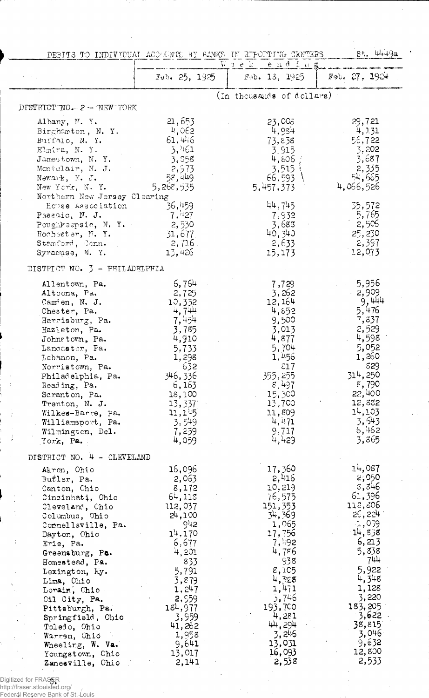|                                         |                     | DEBITS TO INDIVIDUAL ACCOUNTS BY BANKS IN RIPORTING CENTERS | щ. 49а<br>81.       |
|-----------------------------------------|---------------------|-------------------------------------------------------------|---------------------|
|                                         |                     | Woek -<br>ending                                            |                     |
|                                         | Feb. $25, 1925$     | Fob. 13, 1925                                               | $F9b$ . 27, 1924    |
|                                         |                     | (In thousands of dollars):                                  |                     |
| DISTRICT NO - 2 - NEW YORK              |                     |                                                             |                     |
| Albany, N.Y.                            | 21,653              | 23,008                                                      | 29,721              |
| Binghamton, N.Y.                        | 4,062               | 4,934                                                       | 4,131               |
| Buffalo, N. Y.                          | 61,446              | 73,838                                                      | 56,722              |
| Elmira, N.Y.                            | 3,461               | 3.915                                                       | 3,202               |
| Jamestown, N.Y.                         | 3,558               | 4,806 ;                                                     | 3,687               |
| Moniclair, N. J.                        | 2,573               | 3,515                                                       | 2,335               |
| Newark, $N_e$ . $J_e$<br>New York, N.Y. | 58,449<br>5,268,535 | 66,593                                                      | 54,665<br>4,066,526 |
| Northern New Jersey Clearing            |                     | 5,457,373                                                   |                     |
| House Association                       | 36,459              | 44,745                                                      | 35,572              |
| Passaic, N. J.                          | $-7,427$            | 7,932                                                       | 5,765               |
| Poughkeepsie, N.Y.                      | 2,530               | 3,683                                                       | 2,506               |
| Rochester, N.Y.                         | 31,677              | 40,340                                                      | 25, 230             |
| Stamford, Conn.                         | 2,716               | 2,633                                                       | 2,397               |
| Syracuse, N.Y.                          | 13,426              | 15,173                                                      | 12,073              |
| DISTRICT NO. 3 - PHILADELPHIA           |                     |                                                             |                     |
| Allentown, Pa.                          | 6,764               | 7,729                                                       | 5,956               |
| Altoona, Pa.                            | 2,725               | 3,262                                                       | 2,909               |
| Cam'en, N. J.                           | 10,352              | 12, 164                                                     | 9,444               |
| Chester, Pa.                            | 4,744               | 4,652                                                       | 5,476               |
| Harrisburg, Pa.                         | 7,454<br>3,785      | 9,500<br>3,013                                              | 7,837<br>2,529      |
| Hazleton, Pa.<br>Johnstown, Pa.         | 4,910               | 4,877                                                       | 4,598               |
| Lancaster, Pa.                          | 5,733               | 5,704                                                       | 5,052               |
| Lebanon, Pa.                            | 1,298               | 1, 4.56                                                     | 1,260               |
| Norristown, Pa.                         | 632                 | 217                                                         | 829                 |
| Philadelphia, Pa.                       | 346, 336            | 355, 255                                                    | 314,250             |
| Reading, Pa.                            | 6,163               | 8,497                                                       | 8,790               |
| Scranton, Pa.                           | 18,100              | 15,300                                                      | 22,400              |
| Trenton, N. J.<br>Wilkes-Barre, Pa.     | 13,337<br>11,145    | 13,700<br>11,809                                            | 12,832<br>14,103    |
| Williamsport, Pa.                       | 3,549               | 4,471                                                       | 3,543               |
| Wilmington, Del.                        | 7,259               | 9,717                                                       | 6,462               |
| York, Pa.                               | 4,059               | 4,429                                                       | 3,865               |
| DISTRICT NO. 4 - CLEVELAND              |                     |                                                             |                     |
| Akron, Ohio                             | 16,096              | 17,360                                                      | 14,087              |
| Butler, Pa.                             | 2,063.              | 2,416                                                       | 2,050               |
| Canton, Chio                            | 8,172               | 10,219                                                      | 8,346               |
| Cincinnati, Ohio                        | 64,113              | 76,575                                                      | 61,396              |
| Cleveland, Chio                         | 112,037             | 151,353                                                     | 118,806<br>26,224   |
| Columbus, Ohio                          | 24,100<br>942       | 34,369<br>1,065                                             | $-1,039$            |
| Connellsville, Pa.<br>Dayton, Ohio      | 14.170              | 17,756                                                      | 14,338              |
| t,<br>Erie, Pa.                         | 6,677               | 7,492                                                       | 6,213               |
| Greensburg, Pa.                         | 4,201               | 4,786                                                       | 5,838               |
| Homestead, Pa.                          | 833                 | 938                                                         | 744                 |
| Lexington, Ky.                          | 5,791               | 8,105                                                       | 5,922               |
| Lima, Chio                              | 3,879               | 4,328                                                       | 4,348               |
| Lorain, Chio<br>ċ,                      | 1,247               | 1,471<br>3,746                                              | 1,128<br>3,220      |
| Oil City, Pa.<br>Pittsburgh, Pa.        | 2,559<br>184,977    | 193,700                                                     | 183,205             |
| Springfield, Ohio                       | 3,959               | 4,281                                                       | 3,622               |
| Toledo, Ohio                            | 41,262              | 44,294                                                      | 38,815              |
| Warren, Ohio                            | 1,958               | 3,246                                                       | 3,046               |
| Wheeling, W. Va.                        | 9,641               | 13,031                                                      | 9,632               |
| Youngstown, Chio                        | 13,017              | 16,093                                                      | 12,800              |
| Zanesville, Ohio                        | 2,141               | 2,538                                                       | 2,533               |

Digitized for FRAS<mark>ER</mark><br>http://fraser.stlouisfed.org/<br>Federal Reserve Bank of St. Louis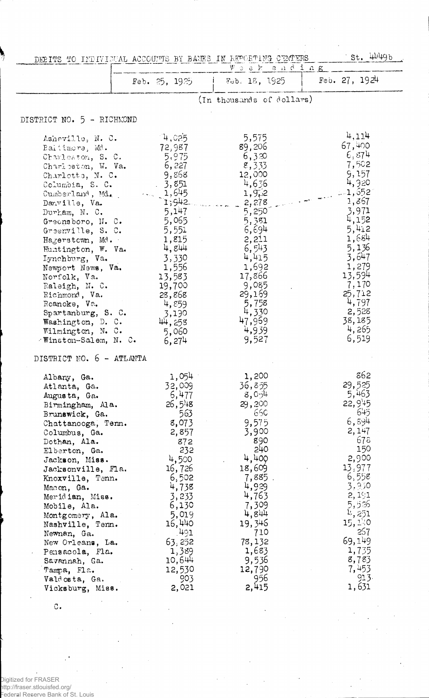|                                      |                   | DERITS TO INDIVIDUAL ACCOUNTS BY BANES IN REPORTING CEMPERS | $5t.$ 4449b     |
|--------------------------------------|-------------------|-------------------------------------------------------------|-----------------|
|                                      |                   | Week ending                                                 |                 |
|                                      | Feb. $25, 1925$   | Feb. 18, 1925                                               | Feb. $27, 1924$ |
|                                      |                   | (In thousands of dollars)                                   |                 |
|                                      |                   |                                                             |                 |
| DISTRICT NO. 5 - RICHMOND            |                   |                                                             |                 |
| Asheville, N.C.                      | $-4,025$          | 5,575                                                       | 4,114           |
| Baitimora, Md.                       | 72,987            | 89,206                                                      | 67,400          |
| Charleston, S. C.                    | 5,975             | 6,320                                                       | 6,874           |
| Charleston, W. Va.                   | 6,227             | 8,333                                                       | 7,502           |
| Charlotte, N. C.                     | 9,868             | 12,000                                                      | 9,157           |
| Columbia, S. C.                      | 3,851             | 4,636                                                       | 4,920           |
| Cumberland, Md.                      | $\frac{1}{1,645}$ | 1,9/2                                                       | $-1,552$        |
| Danville, Va.                        | 1;942             | 2,278                                                       | 1,867           |
| $Dur$ r. N. $C$ .                    | 5,147             | 5,250                                                       | 3,971<br>4,152  |
| Greensboro, N.C.                     | 5,065             | 5,381                                                       | 5,412           |
| Greenville, S. C.                    | 5,551             | 6,694<br>2,211                                              | 1,684           |
| Hagerstown, Md.                      | 1,815<br>4,844    | 6,543                                                       | 5,136           |
| Huntington, W. Va.<br>Iynchburg, Va. | 3,330             | 4,415                                                       | 3,647           |
| Newport News, Va.                    | 1,556             | 1,692                                                       | 1,279           |
| Norfolk, Va.                         | 13,583            | 17,866                                                      | 13,594          |
| Raleigh, N. C.                       | 19,700            | 9,085                                                       | 7,170           |
| Richmond, Va.                        | 28,868            | 29,169                                                      | 25,712          |
| Roanoke, Va.                         | 4,859             | 5,758                                                       | 4,797           |
| Spartanburg, S. C.                   | 3,190             | 4,330                                                       | 2,528           |
| Washington, D. C.                    | 44, 258           | 47,969                                                      | 38,185          |
| Wilmington, N. C.                    | 5,060             | 4,939                                                       | 4,265           |
| Winston-Salem, N. C.                 | 6,274             | 9,527                                                       | 6,519           |
| DISTRICT NO. 6 - ATLANTA             |                   |                                                             |                 |
|                                      | 1,054             | 1,200                                                       | 862             |
| Albany, Ga.<br>Atlanta, Ga.          | 32,009            | 36,855                                                      | 29,525          |
| Augusta, Ga.                         | 6,477             | 8,054                                                       | 5,463           |
| Birmingham, Ala.                     | $26,5^{14}8$      | 29,200                                                      | $22,9' + 5$     |
| Brunswick, Ga.                       | 563               | 66C                                                         | 645             |
| Chattanooga, Tenn.                   | 8,073             | 9,575                                                       | 6,894           |
| Columbus, Ga.                        | 2,857             | 3,900                                                       | 2, 147          |
| Dothan, Ala.                         | 872               | 890                                                         | 678             |
| Elberton, Ga.                        | 232               | 240                                                         | 150             |
| Jackson, Miss.                       | 4,500             | 4,400                                                       | 2,900           |
| Jacksonville, Fla.                   | 16,726            | 18,609                                                      | 13,977          |
| Knoxville, Tenn.                     | 6,502             | 7,885.                                                      | 6,558           |
| Macon, Ga.                           | 4,738             | 4,929                                                       | 3,930           |
| Meridian, Miss.                      | 3,233             | 4,763                                                       | 2,191           |
| Mobile, Ala.                         | 6,130             | 7,309                                                       | 5,526           |
| Montgomery, Ala.                     | 5,019             | 4,844                                                       | 4, 251          |
| Nashville, Tenn.                     | 16,440            | 19,346                                                      | 15,140          |
| Newnan, Ga.                          | 491               | 710                                                         | 257             |
| New Orleans, La.                     | 63, 252           | 78,132                                                      | 69,149          |
| Pensacola, Fla.                      | 1,389             | 1,683                                                       | 1,735           |
| Savannah, Ga.                        | 10,644            | 9,536                                                       | 8,783           |
| Tampa, Fla.                          | 12,530            | 12,790<br>956                                               | 7,453<br>913.   |
| Valdosta, Ga.                        | 903               | 2,415                                                       | 1,631           |
| Vicksburg, Miss.                     | 2,021             |                                                             |                 |

 $\circ$ .

.<br>Digitized for FRASER<br>Tederal Reserve Bank of St. Louis<br>Federal Reserve Bank of St. Louis

 $\ddot{\phantom{0}}$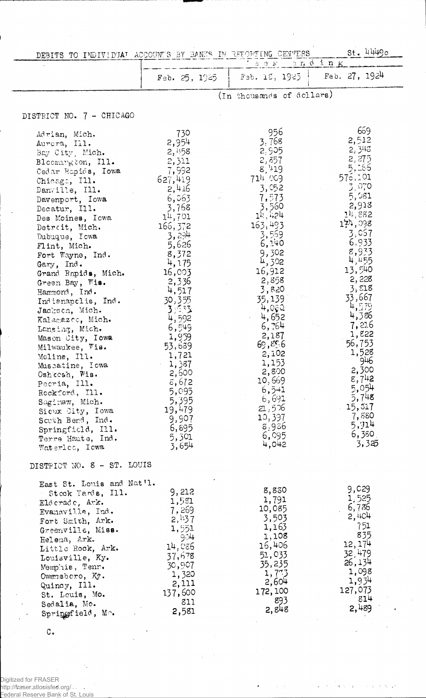| DEBITS TO INDIVIDUAT ACCOUNT'S BY BANKS IN REFORTING CENTERS                                                                                                                                                                                                                                                                                                                                                                                                                                                                                                                                                                                                            |                                                                                                                                                                                                                                                                                                                                                    |                                                                                                                                                                                                                                                                                                                                                        | $St.$ 4449c                                                                                                                                                                                                                                                                                                                               |
|-------------------------------------------------------------------------------------------------------------------------------------------------------------------------------------------------------------------------------------------------------------------------------------------------------------------------------------------------------------------------------------------------------------------------------------------------------------------------------------------------------------------------------------------------------------------------------------------------------------------------------------------------------------------------|----------------------------------------------------------------------------------------------------------------------------------------------------------------------------------------------------------------------------------------------------------------------------------------------------------------------------------------------------|--------------------------------------------------------------------------------------------------------------------------------------------------------------------------------------------------------------------------------------------------------------------------------------------------------------------------------------------------------|-------------------------------------------------------------------------------------------------------------------------------------------------------------------------------------------------------------------------------------------------------------------------------------------------------------------------------------------|
|                                                                                                                                                                                                                                                                                                                                                                                                                                                                                                                                                                                                                                                                         | Feb. 25, 1925                                                                                                                                                                                                                                                                                                                                      | 'sek ending<br>Fab. 15, 1925                                                                                                                                                                                                                                                                                                                           | Feb. $27, 1924$                                                                                                                                                                                                                                                                                                                           |
|                                                                                                                                                                                                                                                                                                                                                                                                                                                                                                                                                                                                                                                                         |                                                                                                                                                                                                                                                                                                                                                    | (In thousands of dellars)                                                                                                                                                                                                                                                                                                                              |                                                                                                                                                                                                                                                                                                                                           |
| DISTRICT NO. 7 - CHICAGO                                                                                                                                                                                                                                                                                                                                                                                                                                                                                                                                                                                                                                                |                                                                                                                                                                                                                                                                                                                                                    |                                                                                                                                                                                                                                                                                                                                                        |                                                                                                                                                                                                                                                                                                                                           |
| Adrian, Mich.<br>Aurora, Ill.<br>Bay City, Mich.<br>Bloomington, Ill.<br>Cedar Rapids, Iowa<br>Chicago, Ill.<br>Danville, Ill.<br>Davenport, Iowa<br>Decatur, Ill.<br>Des Moines, Iowa<br>Detroit, Mich.<br>Dubuque, Iowa<br>Flint, Mich.<br>Fort Wayne, Ind.<br>Gary, Ind.<br>Grand Rapids, Mich.<br>Green Bay, Wis.<br>Hammond, Ind.<br>Indianapolis, Ind.<br>Jackson, Mich.<br>Kalamazco, Mich.<br>Lansing, Mich.<br>Mason City, Iowa<br>Milwaukee, Vis.<br>Moline, Ill.<br>Muscatine, Iowa<br>Oshkesh, Wis.<br>Pecria, Ill.<br>Rockford, Ill.<br>Saginaw, Mich.<br>Sieux City, Iowa<br>South Bend, Ind.<br>Springfield, Ill.<br>Terre Haute, Ind.<br>Waterloc, Iowa | 730<br>2,954<br>2,458<br>2,311<br>7,992<br>627,419<br>2,416<br>6,063<br>3,768<br>$1^{11}$ , 701<br>166, 372<br>3,294<br>5,626<br>8,372<br>4,175<br>16,003<br>2,336<br>4,517<br>30,355<br>3.533<br>4,592<br>6,549<br>1,959<br>53,639<br>1,721<br>1,387<br>2,600<br>$\epsilon$ , 672<br>5,095<br>5,395<br>19,479<br>9,907<br>6,895<br>5,301<br>3,654 | 956<br>3,768<br>2,905<br>2,857<br>8,419<br>714009<br>3,052<br>7,573<br>3,560<br>$1$ <sup>y</sup> , $1.24$<br>163,493<br>3,569<br>6,140<br>9,302<br>4,302<br>16,912<br>2,858<br>3,820<br>35,139<br>4,080<br>4,652<br>6,764<br>2,187<br>69,856<br>2,102<br>1,153<br>2,800<br>10,669<br>$6,5 + 1$<br>6,691<br>21,526<br>10,397<br>8,936<br>6,095<br>4,042 | 669<br>2,512<br>2,343<br>2,275<br>5,165<br>576,101<br>3,070<br>5,081<br>2,918<br>$111$ , 882<br>174,098<br>3,057<br>6,933<br>8,933<br>4,455<br>13,540<br>2, 228<br>3,518<br>33,667<br>4,579<br>4,386<br>7,216<br>1,822<br>56,753<br>1,528<br>946<br>2,300<br>$8,7^{11}2$<br>5,054<br>5,748<br>15,517<br>7,880<br>5,914<br>6,380.<br>3,325 |
| DISTRICT NO. 8 - ST. LOUIS                                                                                                                                                                                                                                                                                                                                                                                                                                                                                                                                                                                                                                              |                                                                                                                                                                                                                                                                                                                                                    |                                                                                                                                                                                                                                                                                                                                                        |                                                                                                                                                                                                                                                                                                                                           |
| East St. Louis and Nat'l.<br>Stock Yards, Ill.<br>Elderade, Ark.<br>Evansville, Ind.<br>Fort Smith, Ark.<br>Greenville, Miss.<br>Helena, Ark.<br>Little Rock, Ark.<br>Louisville, Ky.<br>Memphis, Tenn.<br>Owersboro, Ky.<br>Quincy, Ill.<br>St. Louis, Mo.<br>Sedalia, Mo.<br>Springfield, Mo.                                                                                                                                                                                                                                                                                                                                                                         | 9,212<br>1,531<br>7,269<br>2,137<br>1,551<br>9ंसे<br>14,086<br>37,678<br>30,907<br>1,320<br>2,111<br>137,600<br>811<br>2,581                                                                                                                                                                                                                       | 8,830<br>1,791<br>10,085<br>3,503<br>1,163<br>1,108<br>16,406<br>51,033<br>35,235<br>1,733<br>2,604<br>172,100<br>893<br>2,848                                                                                                                                                                                                                         | 9,029<br>1,525<br>6,736<br>2,404<br>751<br>835<br>12, 174<br>32,479<br>26,134<br>1,098<br>1,934<br>127,073<br>814<br>2,489                                                                                                                                                                                                                |

 $\sim$  $\hat{\mathcal{L}}$ 

 $\ddot{\phantom{1}}$ 

 $\hat{z} = \hat{z}$ 

J.

 $\ddot{\phantom{a}}$  $\bar{z}$ 

 $\circ$ .

 $\ddot{\phantom{a}}$ 

 $\bar{z}$ 

Digitized for FRASER<br>http://fraser.stlouisfed.org/<br>Federal Reserve Bank of St. Louis

 $\hat{\gamma}_i$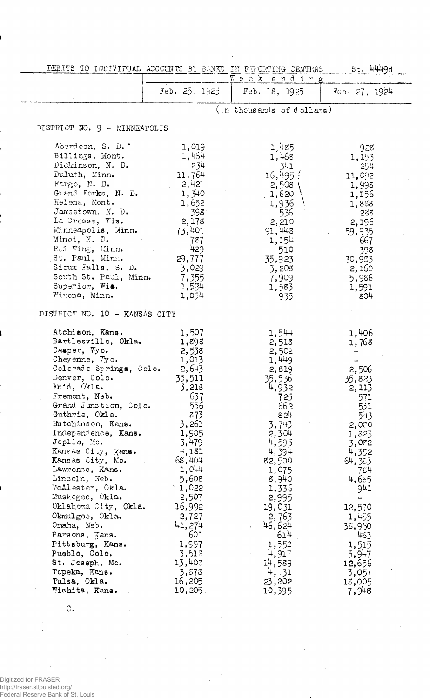| DEBITS TO INDIVIPUAL ACCOUNTS BY BANKS IN ESPONITHG CENTERS                                                                                                                                                                                                                                                                                                                                                                                                                                                                                                                              |                                                                                                                                                                                                                                                                           |                                                                                                                                                                                                                                                                   | St. 4449d                                                                                                                                                                                                                        |
|------------------------------------------------------------------------------------------------------------------------------------------------------------------------------------------------------------------------------------------------------------------------------------------------------------------------------------------------------------------------------------------------------------------------------------------------------------------------------------------------------------------------------------------------------------------------------------------|---------------------------------------------------------------------------------------------------------------------------------------------------------------------------------------------------------------------------------------------------------------------------|-------------------------------------------------------------------------------------------------------------------------------------------------------------------------------------------------------------------------------------------------------------------|----------------------------------------------------------------------------------------------------------------------------------------------------------------------------------------------------------------------------------|
|                                                                                                                                                                                                                                                                                                                                                                                                                                                                                                                                                                                          |                                                                                                                                                                                                                                                                           | Weak ending                                                                                                                                                                                                                                                       |                                                                                                                                                                                                                                  |
|                                                                                                                                                                                                                                                                                                                                                                                                                                                                                                                                                                                          | Feb. $25, 1925$                                                                                                                                                                                                                                                           | Feb. 18, 1925                                                                                                                                                                                                                                                     | Feb. 27, 1924                                                                                                                                                                                                                    |
|                                                                                                                                                                                                                                                                                                                                                                                                                                                                                                                                                                                          |                                                                                                                                                                                                                                                                           | (In thousands of dollars)                                                                                                                                                                                                                                         |                                                                                                                                                                                                                                  |
| DISTRICT NO. 9 - MINNEAPOLIS                                                                                                                                                                                                                                                                                                                                                                                                                                                                                                                                                             |                                                                                                                                                                                                                                                                           |                                                                                                                                                                                                                                                                   |                                                                                                                                                                                                                                  |
| Aberdeen, S. D. '<br>Billings, Mont.<br>Dickinson, N. D.<br>Duluth, Minn.<br>$Fengo$ , N. D.<br>Grand Forks, N. D.<br>Helena, Mont.<br>Jamestown, N. D.<br>La Crosse, Vis.<br>Minneapolis, Minn.<br>Minot, N. D.<br>Red Wing, Minn.<br>St. Paul, Minn.<br>Sioux Falls, S. D.<br>South St. Paul, Minn.<br>Superior, Wia.<br>Wincna, Minn.                                                                                                                                                                                                                                                 | 1,019<br>1,464<br>234<br>11,764<br>2,421<br>1,340<br>1,652<br>398<br>2,178<br>73,401<br>787<br>429<br>29,777<br>3,029<br>7,355<br>1,534<br>1,054                                                                                                                          | 1,485<br>1,468<br>341<br>16, 195.<br>2,508<br>1,620<br>1,936<br>536<br>2,210<br>91,443<br>1,154<br>510<br>35,923<br>3,208<br>7,909<br>1,583<br>935                                                                                                                | 928<br>1,153<br>254<br>11,092<br>1,998<br>1,156<br>1,828<br>288<br>2,196<br>59,935<br>667<br>398<br>30,923<br>2,150<br>5,986<br>1,591<br>804                                                                                     |
| DISTRICT NO. 10 - KANSAS CITY                                                                                                                                                                                                                                                                                                                                                                                                                                                                                                                                                            |                                                                                                                                                                                                                                                                           |                                                                                                                                                                                                                                                                   |                                                                                                                                                                                                                                  |
| Atchison, Kans.<br>Bartlesville, Okla.<br>Casper, Wyo.<br>Cheyenne, $\nabla y \circ \cdot$<br>Colorado Springs, Colo.<br>Denver, Colo.<br>Enid, Okla.<br>Fremont, Neb.<br>Grand Junction, Colo.<br>Guthrie, Okla.<br>Hutchinson, Kans.<br>Independence, Kans.<br>Jeplin, Mo.<br>Kansas City, Kans.<br>Kansas City, Mo.<br>Lawrence, Kans.<br>Lincoln, Neb.<br>McAlester, Okla.<br>Muskegee, Okla.<br>Oklahoma City, Okla.<br>Okmulgee, Okla.<br>Omaha, Neb.<br>Parsons, Kans.<br>Pittsburg, Kans.<br>Pueblo, Colo.<br>St. Joseph, Mo.<br>Topeka, Kans.<br>Tulsa, Okla.<br>Wichita, Kans. | 1,507<br>1,898<br>2,538<br>1,013<br>2,643<br>35,511<br>3,213<br>637<br>556<br>873<br>3,261<br>1,905<br>3,479<br>4,181<br>68,404<br>1,044<br>5,608<br>$\cdot$ 1,022<br>2,507<br>16,992<br>2,727<br>41,274<br>601<br>1,997<br>3,518<br>13,403<br>3,873<br>16,205<br>10,205. | 1,544<br>2,518<br>2,502<br>1,449<br>2,819<br>35,536<br>4,932<br>725<br>662<br>82 !<br>3,743<br>2,304<br>4,595<br>4,394<br>82,500<br>1,075<br>8,940<br>1,336<br>2,995<br>19,031<br>2,763<br>46,624<br>614<br>1,552<br>4,917<br>14,589<br>4,131<br>23,202<br>10,395 | 1,406<br>1,768<br>2,506<br>35,823<br>2,113<br>571<br>531<br>543<br>2,000<br>1,323<br>3,082<br>4,352<br>64,323<br>784<br>4,685<br>941<br>12,570<br>1,455<br>38,950<br>483<br>1,515<br>5,947<br>12,656<br>3,057<br>18,005<br>7,948 |

 $\circ$ .

Digitized for FRASER http://fraser.stlouisfed.org/ Federal Reserve Bank of St. Louis

 $\overline{\phantom{a}}$